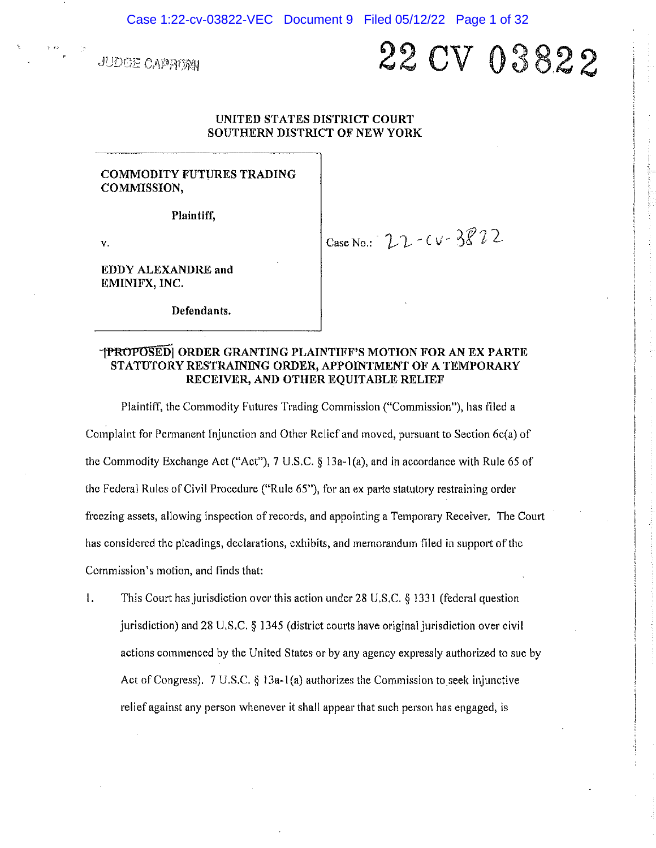**JUDGE CAPROM** 

# 22 CV 03822

# UNITED STATES DISTRICT COURT **SOUTHERN DISTRICT OF NEW YORK**

# **COMMODITY FUTURES TRADING** COMMISSION,

Plaintiff,

 $\mathbf{V},$ 

Case No.:  $22 - CV - 38222$ 

EDDY ALEXANDRE and EMINIFX, INC.

Defendants.

# **-{PROPOSED| ORDER GRANTING PLAINTIFF'S MOTION FOR AN EX PARTE** STATUTORY RESTRAINING ORDER, APPOINTMENT OF A TEMPORARY RECEIVER, AND OTHER EQUITABLE RELIEF

Plaintiff, the Commodity Futures Trading Commission ("Commission"), has filed a Complaint for Permanent Injunction and Other Relief and moved, pursuant to Section 6c(a) of the Commodity Exchange Act ("Act"), 7 U.S.C. § 13a-1(a), and in accordance with Rule 65 of the Federal Rules of Civil Procedure ("Rule 65"), for an ex parte statutory restraining order freezing assets, allowing inspection of records, and appointing a Temporary Receiver. The Court has considered the pleadings, declarations, exhibits, and memorandum filed in support of the Commission's motion, and finds that:

 $\mathbf{I}$ . This Court has jurisdiction over this action under 28 U.S.C. § 1331 (federal question jurisdiction) and 28 U.S.C.  $\S$  1345 (district courts have original jurisdiction over civil actions commenced by the United States or by any agency expressly authorized to sue by Act of Congress). 7 U.S.C. § 13a-1(a) authorizes the Commission to seek injunctive relief against any person whenever it shall appear that such person has engaged, is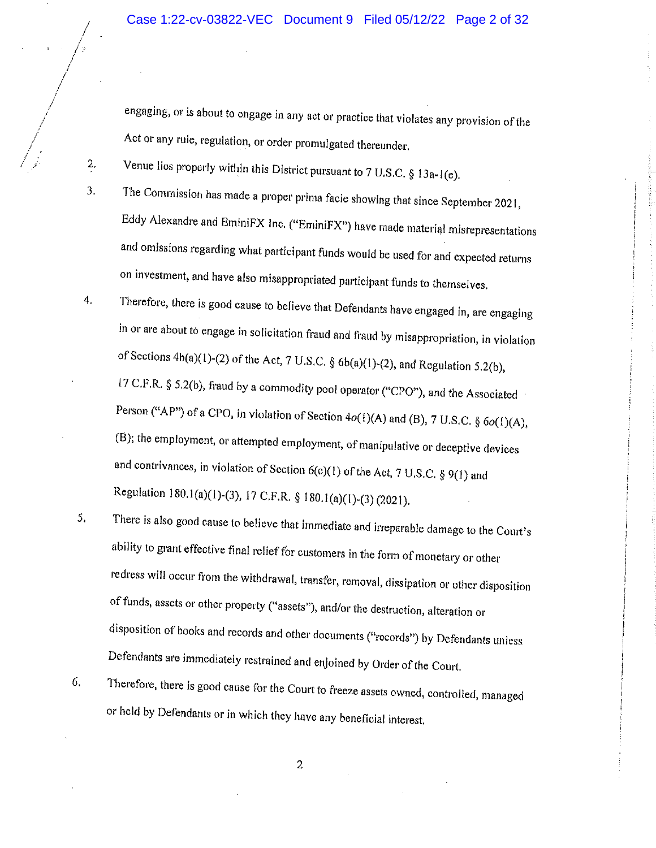engaging, or is about to engage in any act or practice that violates any provision of the Act or any rule, regulation, or order promulgated thereunder,

Venue lies properly within this District pursuant to 7 U.S.C.  $§$  13a-1(e).

2.

 $\overline{3}$ .

- The Commission has made a proper prima facie showing that since September 2021, Eddy Alexandre and EminiFX Inc. ("EminiFX") have made material misrepresentations and omissions regarding what participant funds would be used for and expected returns on investment, and have also misappropriated participant funds to themselves.
- Therefore, there is good cause to believe that Defendants have engaged in, are engaging  $4<sub>1</sub>$ in or are about to engage in solicitation fraud and fraud by misappropriation, in violation of Sections  $4b(a)(1)-(2)$  of the Act, 7 U.S.C. §  $6b(a)(1)-(2)$ , and Regulation 5.2(b), 17 C.F.R. § 5.2(b), fraud by a commodity pool operator ("CPO"), and the Associated Person ("AP") of a CPO, in violation of Section  $4o(1)(A)$  and (B), 7 U.S.C. §  $6o(1)(A)$ , (B); the employment, or attempted employment, of manipulative or deceptive devices and contrivances, in violation of Section  $6(c)(1)$  of the Act, 7 U.S.C. § 9(1) and Regulation 180.1(a)(1)-(3), 17 C.F.R. § 180.1(a)(1)-(3) (2021).
- There is also good cause to believe that immediate and irreparable damage to the Court's 5. ability to grant effective final relief for customers in the form of monetary or other redress will occur from the withdrawal, transfer, removal, dissipation or other disposition of funds, assets or other property ("assets"), and/or the destruction, alteration or disposition of books and records and other documents ("records") by Defendants unless Defendants are immediately restrained and enjoined by Order of the Court.
- Therefore, there is good cause for the Court to freeze assets owned, controlled, managed 6. or held by Defendants or in which they have any beneficial interest.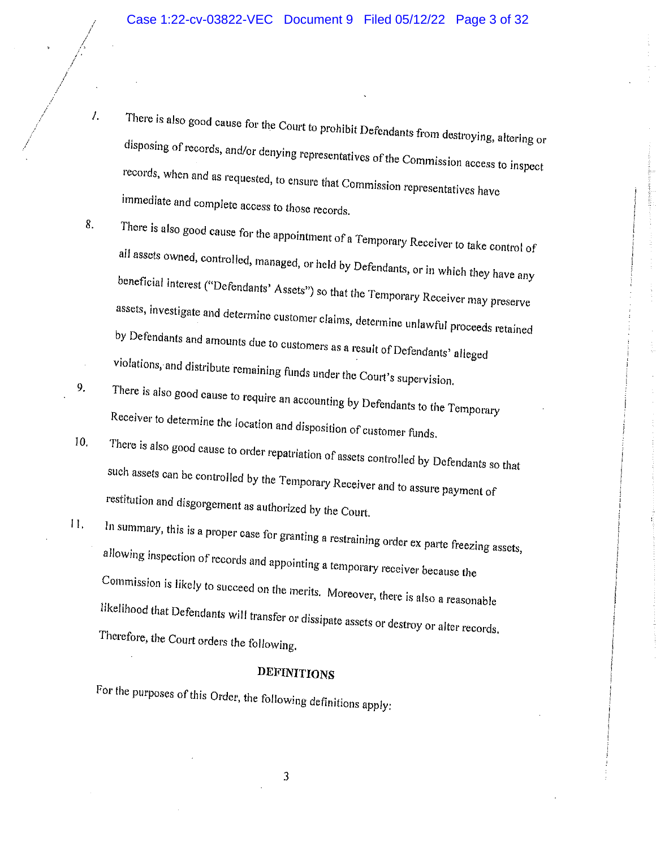There is also good cause for the Court to prohibit Defendants from destroying, altering or disposing of records, and/or denying representatives of the Commission access to inspect records, when and as requested, to ensure that Commission representatives have immediate and complete access to those records.

 $\mathcal{L}$ .

9.

- There is also good cause for the appointment of a Temporary Receiver to take control of 8. all assets owned, controlled, managed, or held by Defendants, or in which they have any beneficial interest ("Defendants' Assets") so that the Temporary Receiver may preserve assets, investigate and determine customer claims, determine unlawful proceeds retained by Defendants and amounts due to customers as a result of Defendants' alleged violations, and distribute remaining funds under the Court's supervision.
- There is also good cause to require an accounting by Defendants to the Temporary Receiver to determine the location and disposition of customer funds.
- There is also good cause to order repatriation of assets controlled by Defendants so that  $10.$ such assets can be controlled by the Temporary Receiver and to assure payment of restitution and disgorgement as authorized by the Court.
- In summary, this is a proper case for granting a restraining order ex parte freezing assets,  $11.$ allowing inspection of records and appointing a temporary receiver because the Commission is likely to succeed on the merits. Moreover, there is also a reasonable likelihood that Defendants will transfer or dissipate assets or destroy or alter records. Therefore, the Court orders the following.

# **DEFINITIONS**

For the purposes of this Order, the following definitions apply: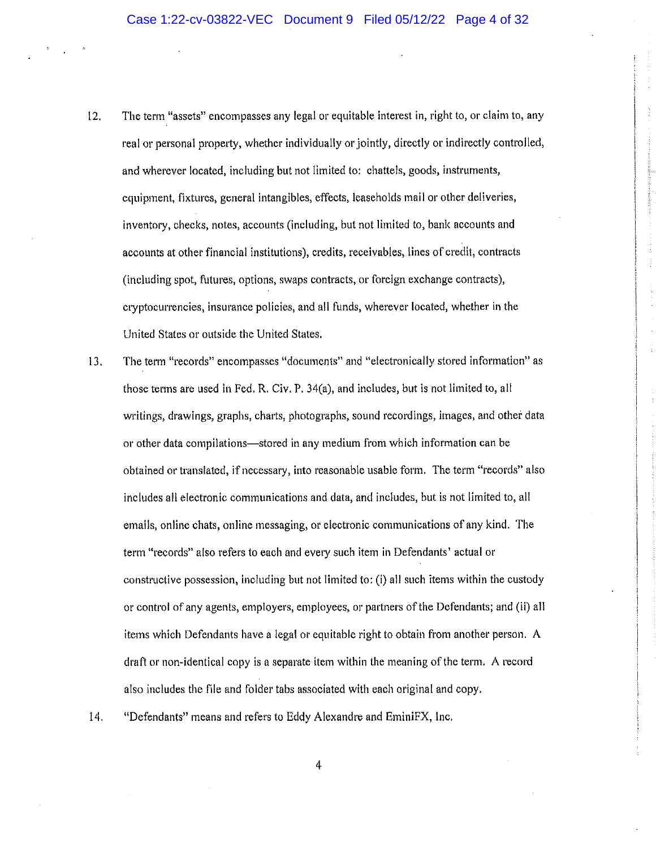- The term "assets" encompasses any legal or equitable interest in, right to, or claim to, any  $12.$ real or personal property, whether individually or jointly, directly or indirectly controlled, and wherever located, including but not limited to: chattels, goods, instruments, equipment, fixtures, general intangibles, effects, leaseholds mail or other deliveries, inventory, checks, notes, accounts (including, but not limited to, bank accounts and accounts at other financial institutions), credits, receivables, lines of credit, contracts (including spot, futures, options, swaps contracts, or foreign exchange contracts), cryptocurrencies, insurance policies, and all funds, wherever located, whether in the United States or outside the United States.
- The term "records" encompasses "documents" and "electronically stored information" as 13. those terms are used in Fed, R. Civ. P. 34(a), and includes, but is not limited to, all writings, drawings, graphs, charts, photographs, sound recordings, images, and other data or other data compilations—stored in any medium from which information can be obtained or translated, if necessary, into reasonable usable form. The term "records" also includes all electronic communications and data, and includes, but is not limited to, all emails, online chats, online messaging, or electronic communications of any kind. The term "records" also refers to each and every such item in Defendants' actual or constructive possession, including but not limited to: (i) all such items within the custody or control of any agents, employers, employees, or partners of the Defendants; and (ii) all items which Defendants have a legal or equitable right to obtain from another person. A draft or non-identical copy is a separate item within the meaning of the term. A record also includes the file and folder tabs associated with each original and copy.
- $14.$ "Defendants" means and refers to Eddy Alexandre and EminiFX, Inc.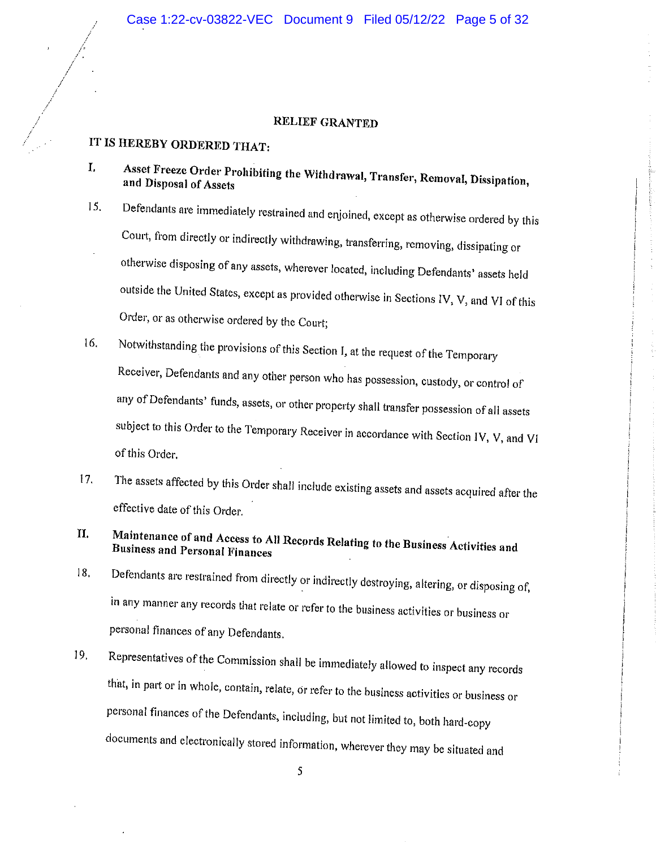# RELIEF GRANTED

# IT IS HEREBY ORDERED THAT:

- Asset Freeze Order Prohibiting the Withdrawal, Transfer, Removal, Dissipation, I. and Disposal of Assets
- Defendants are immediately restrained and enjoined, except as otherwise ordered by this 15. Court, from directly or indirectly withdrawing, transferring, removing, dissipating or otherwise disposing of any assets, wherever located, including Defendants' assets held outside the United States, except as provided otherwise in Sections IV, V, and VI of this Order, or as otherwise ordered by the Court;
- 16. Notwithstanding the provisions of this Section I, at the request of the Temporary Receiver, Defendants and any other person who has possession, custody, or control of any of Defendants' funds, assets, or other property shall transfer possession of all assets subject to this Order to the Temporary Receiver in accordance with Section IV, V, and VI of this Order.
- $17.$ The assets affected by this Order shall include existing assets and assets acquired after the effective date of this Order.
- Maintenance of and Access to All Records Relating to the Business Activities and  $\mathbf{u}$ **Business and Personal Finances**
- Defendants are restrained from directly or indirectly destroying, altering, or disposing of, 18. in any manner any records that relate or refer to the business activities or business or personal finances of any Defendants.
- Representatives of the Commission shall be immediately allowed to inspect any records 19. that, in part or in whole, contain, relate, or refer to the business activities or business or personal finances of the Defendants, including, but not limited to, both hard-copy documents and electronically stored information, wherever they may be situated and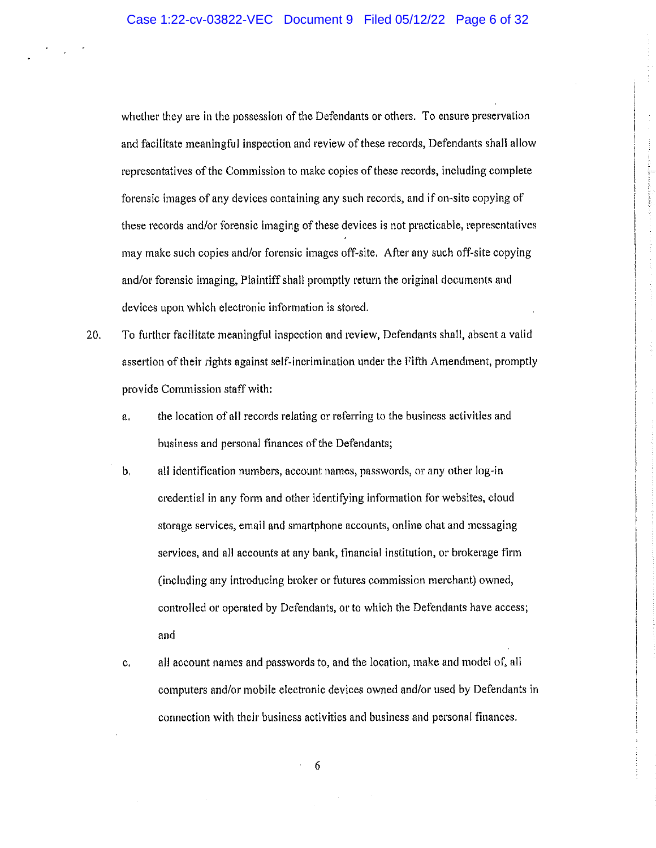whether they are in the possession of the Defendants or others. To ensure preservation and facilitate meaningful inspection and review of these records, Defendants shall allow representatives of the Commission to make copies of these records, including complete forensic images of any devices containing any such records, and if on-site copying of these records and/or forensic imaging of these devices is not practicable, representatives may make such copies and/or forensic images off-site. After any such off-site copying and/or forensic imaging, Plaintiff shall promptly return the original documents and devices upon which electronic information is stored.

- $20.$ To further facilitate meaningful inspection and review, Defendants shall, absent a valid assertion of their rights against self-incrimination under the Fifth Amendment, promptly provide Commission staff with:
	- the location of all records relating or referring to the business activities and a. business and personal finances of the Defendants;
	- $\mathbf{b}$ all identification numbers, account names, passwords, or any other log-in credential in any form and other identifying information for websites, cloud storage services, email and smartphone accounts, online chat and messaging services, and all accounts at any bank, financial institution, or brokerage firm (including any introducing broker or futures commission merchant) owned, controlled or operated by Defendants, or to which the Defendants have access; and
	- all account names and passwords to, and the location, make and model of, all c. computers and/or mobile electronic devices owned and/or used by Defendants in connection with their business activities and business and personal finances.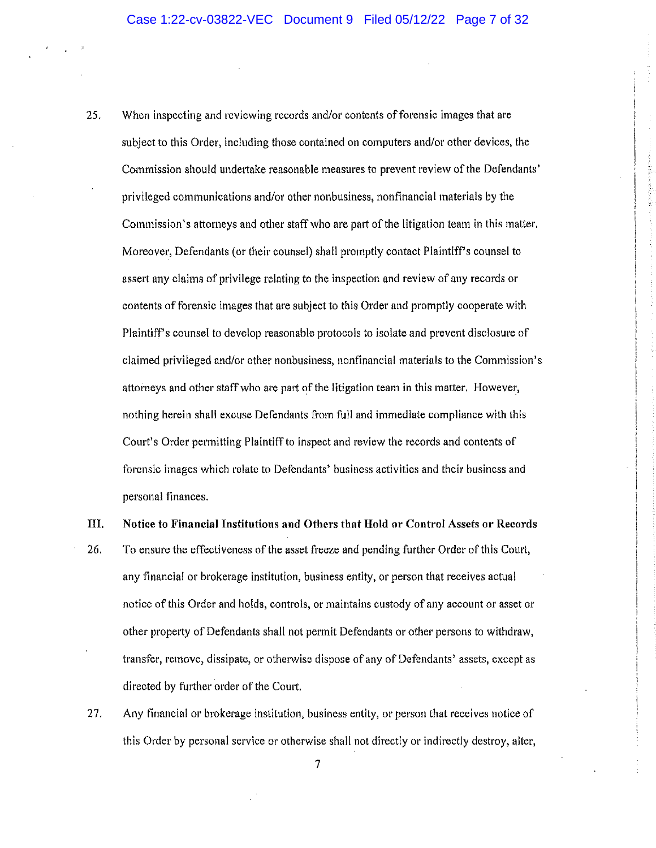- 25. When inspecting and reviewing records and/or contents of forensic images that are subject to this Order, including those contained on computers and/or other devices, the Commission should undertake reasonable measures to prevent review of the Defendants' privileged communications and/or other nonbusiness, nonfinancial materials by the Commission's attorneys and other staff who are part of the litigation team in this matter. Moreover, Defendants (or their counsel) shall promptly contact Plaintiff's counsel to assert any claims of privilege relating to the inspection and review of any records or contents of forensic images that are subject to this Order and promptly cooperate with Plaintiff's counsel to develop reasonable protocols to isolate and prevent disclosure of claimed privileged and/or other nonbusiness, nonfinancial materials to the Commission's attorneys and other staff who are part of the litigation team in this matter. However, nothing herein shall excuse Defendants from full and immediate compliance with this Court's Order permitting Plaintiff to inspect and review the records and contents of forensic images which relate to Defendants' business activities and their business and personal finances.
- III. Notice to Financial Institutions and Others that Hold or Control Assets or Records
- 26. To ensure the effectiveness of the asset freeze and pending further Order of this Court, any financial or brokerage institution, business entity, or person that receives actual notice of this Order and holds, controls, or maintains custody of any account or asset or other property of Defendants shall not permit Defendants or other persons to withdraw, transfer, remove, dissipate, or otherwise dispose of any of Defendants' assets, except as directed by further order of the Court.
- 27. Any financial or brokerage institution, business entity, or person that receives notice of this Order by personal service or otherwise shall not directly or indirectly destroy, alter,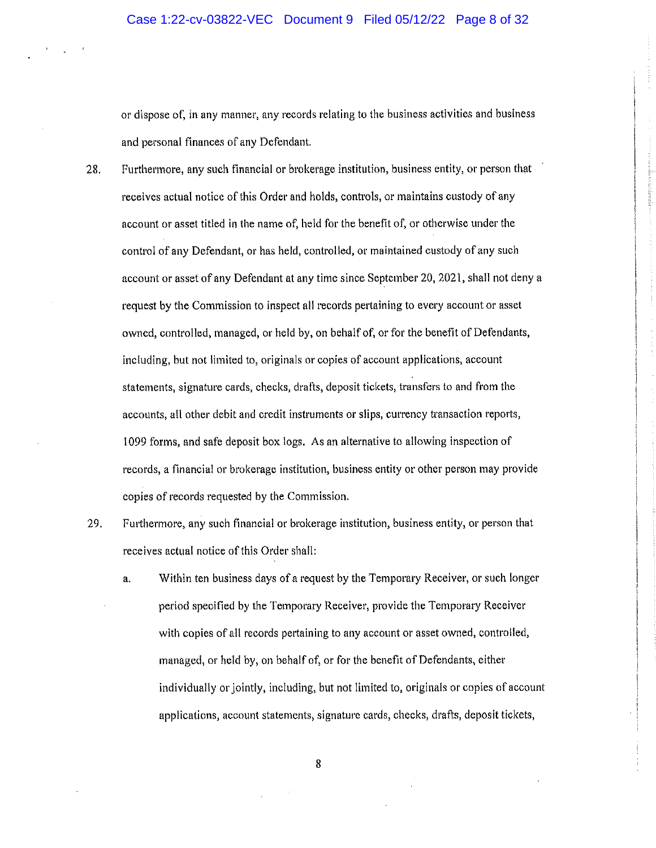or dispose of, in any manner, any records relating to the business activities and business and personal finances of any Defendant.

- 28. Furthermore, any such financial or brokerage institution, business entity, or person that receives actual notice of this Order and holds, controls, or maintains custody of any account or asset titled in the name of, held for the benefit of, or otherwise under the control of any Defendant, or has held, controlled, or maintained custody of any such account or asset of any Defendant at any time since September 20, 2021, shall not deny a request by the Commission to inspect all records pertaining to every account or asset owned, controlled, managed, or held by, on behalf of, or for the benefit of Defendants, including, but not limited to, originals or copies of account applications, account statements, signature cards, checks, drafts, deposit tickets, transfers to and from the accounts, all other debit and credit instruments or slips, currency transaction reports, 1099 forms, and safe deposit box logs. As an alternative to allowing inspection of records, a financial or brokerage institution, business entity or other person may provide copies of records requested by the Commission.
- 29. Furthermore, any such financial or brokerage institution, business entity, or person that receives actual notice of this Order shall:
	- Within ten business days of a request by the Temporary Receiver, or such longer  $a_{\star}$ period specified by the Temporary Receiver, provide the Temporary Receiver with copies of all records pertaining to any account or asset owned, controlled, managed, or held by, on behalf of, or for the benefit of Defendants, either individually or jointly, including, but not limited to, originals or copies of account applications, account statements, signature cards, checks, drafts, deposit tickets,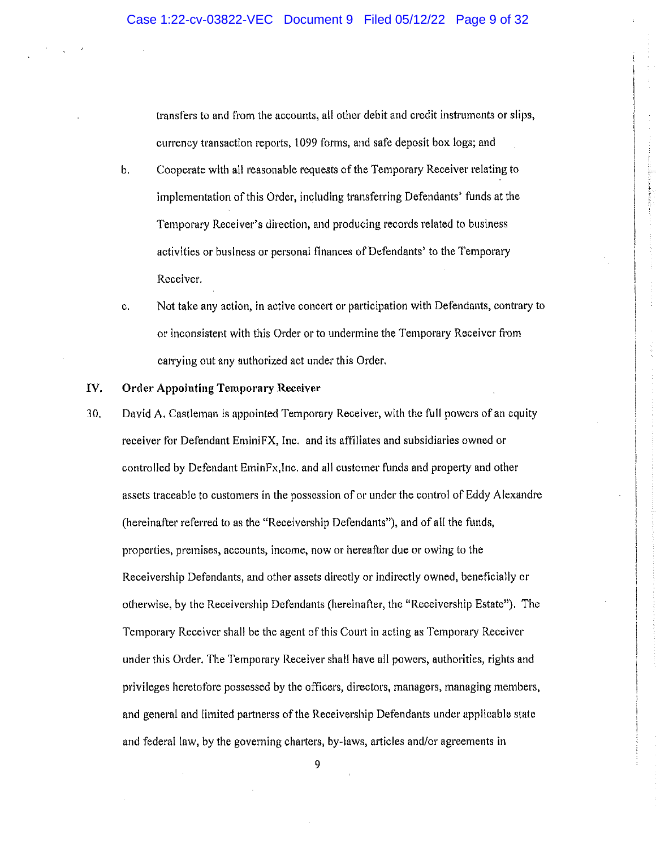transfers to and from the accounts, all other debit and credit instruments or slips, currency transaction reports, 1099 forms, and safe deposit box logs; and

- $\mathbf{b}$ . Cooperate with all reasonable requests of the Temporary Receiver relating to implementation of this Order, including transferring Defendants' funds at the Temporary Receiver's direction, and producing records related to business activities or business or personal finances of Defendants' to the Temporary Receiver.
- Not take any action, in active concert or participation with Defendants, contrary to  $\mathbf{c}$ . or inconsistent with this Order or to undermine the Temporary Receiver from carrying out any authorized act under this Order.

#### IV. **Order Appointing Temporary Receiver**

David A. Castleman is appointed Temporary Receiver, with the full powers of an equity 30. receiver for Defendant EminiFX, Inc. and its affiliates and subsidiaries owned or controlled by Defendant EminFx, Inc. and all customer funds and property and other assets traceable to customers in the possession of or under the control of Eddy Alexandre (hereinafter referred to as the "Receivership Defendants"), and of all the funds, properties, premises, accounts, income, now or hereafter due or owing to the Receivership Defendants, and other assets directly or indirectly owned, beneficially or otherwise, by the Receivership Defendants (hereinafter, the "Receivership Estate"). The Temporary Receiver shall be the agent of this Court in acting as Temporary Receiver under this Order. The Temporary Receiver shall have all powers, authorities, rights and privileges heretofore possessed by the officers, directors, managers, managing members, and general and limited partnerss of the Receivership Defendants under applicable state and federal law, by the governing charters, by-laws, articles and/or agreements in

ğ,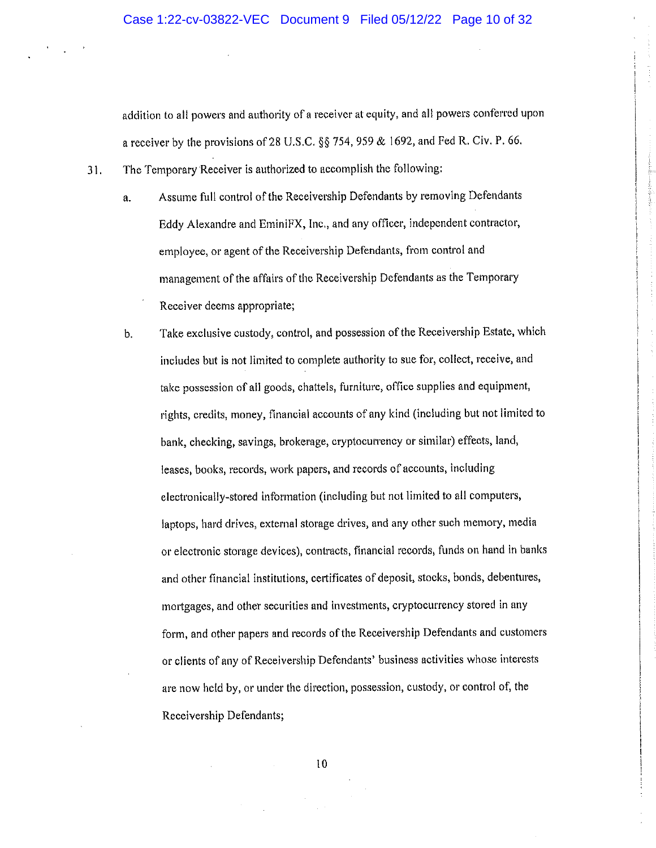addition to all powers and authority of a receiver at equity, and all powers conferred upon a receiver by the provisions of 28 U.S.C. §§ 754, 959 & 1692, and Fed R. Civ. P. 66.

- The Temporary Receiver is authorized to accomplish the following:  $31.$ 
	- Assume full control of the Receivership Defendants by removing Defendants a. Eddy Alexandre and EminiFX, Inc., and any officer, independent contractor, employee, or agent of the Receivership Defendants, from control and management of the affairs of the Receivership Defendants as the Temporary Receiver deems appropriate;
	- Take exclusive custody, control, and possession of the Receivership Estate, which  $\mathbf{b}$ . includes but is not limited to complete authority to sue for, collect, receive, and take possession of all goods, chattels, furniture, office supplies and equipment, rights, credits, money, financial accounts of any kind (including but not limited to bank, checking, savings, brokerage, cryptocurrency or similar) effects, land, leases, books, records, work papers, and records of accounts, including electronically-stored information (including but not limited to all computers, laptops, hard drives, external storage drives, and any other such memory, media or electronic storage devices), contracts, financial records, funds on hand in banks and other financial institutions, certificates of deposit, stocks, bonds, debentures, mortgages, and other securities and investments, cryptocurrency stored in any form, and other papers and records of the Receivership Defendants and customers or clients of any of Receivership Defendants' business activities whose interests are now held by, or under the direction, possession, custody, or control of, the Receivership Defendants;

 $10<sup>°</sup>$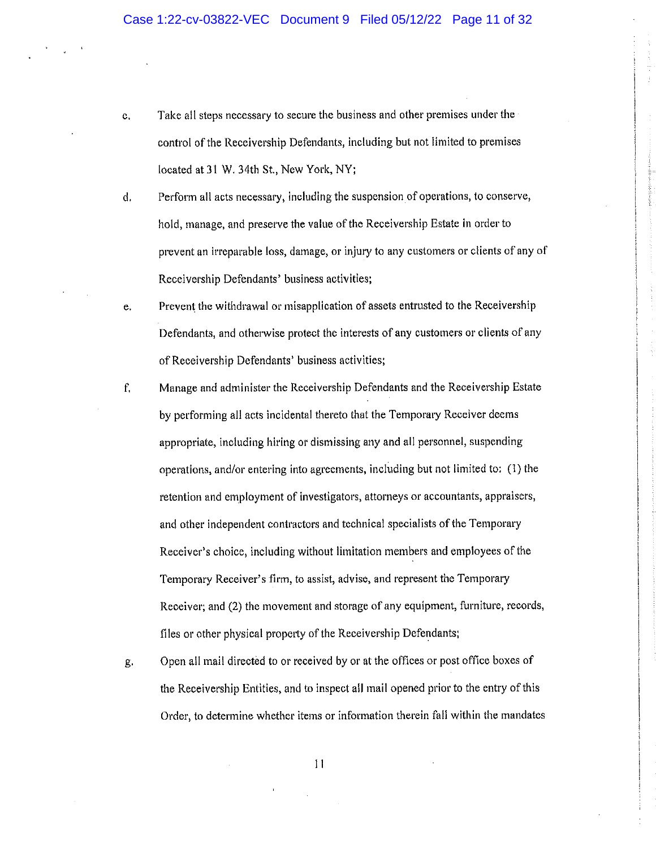- Take all steps necessary to secure the business and other premises under the c. control of the Receivership Defendants, including but not limited to premises located at 31 W. 34th St., New York, NY;
- $d.$ Perform all acts necessary, including the suspension of operations, to conserve, hold, manage, and preserve the value of the Receivership Estate in order to prevent an irreparable loss, damage, or injury to any customers or clients of any of Receivership Defendants' business activities;
- Prevent the withdrawal or misapplication of assets entrusted to the Receivership e. Defendants, and otherwise protect the interests of any customers or clients of any of Receivership Defendants' business activities;
- Manage and administer the Receivership Defendants and the Receivership Estate  $f_{\cdot}$ by performing all acts incidental thereto that the Temporary Receiver deems appropriate, including hiring or dismissing any and all personnel, suspending operations, and/or entering into agreements, including but not limited to: (1) the retention and employment of investigators, attorneys or accountants, appraisers, and other independent contractors and technical specialists of the Temporary Receiver's choice, including without limitation members and employees of the Temporary Receiver's firm, to assist, advise, and represent the Temporary Receiver; and (2) the movement and storage of any equipment, furniture, records, files or other physical property of the Receivership Defendants;
- Open all mail directed to or received by or at the offices or post office boxes of g. the Receivership Entities, and to inspect all mail opened prior to the entry of this Order, to determine whether items or information therein fall within the mandates

 $\vert \vert$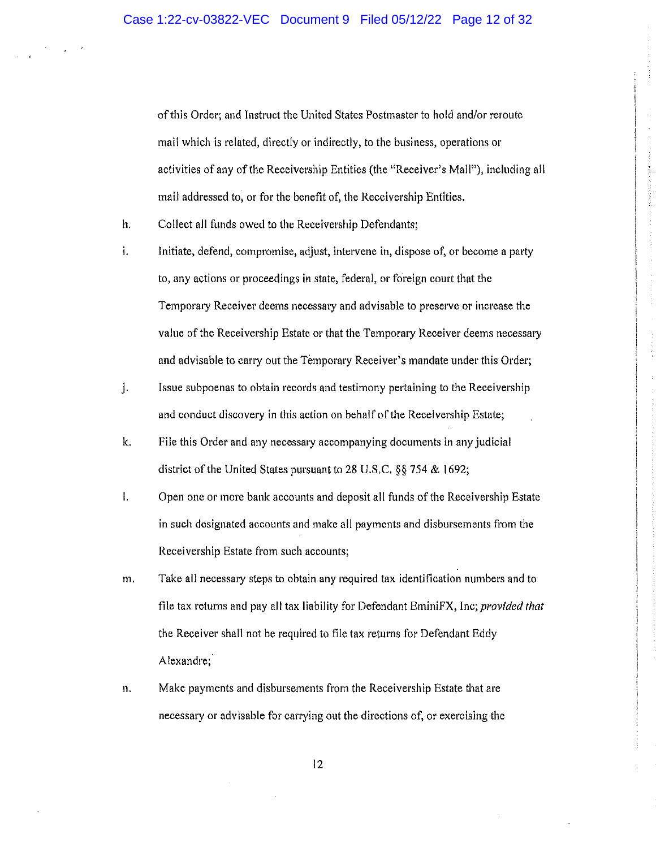of this Order; and Instruct the United States Postmaster to hold and/or reroute mail which is related, directly or indirectly, to the business, operations or activities of any of the Receivership Entities (the "Receiver's Mail"), including all mail addressed to, or for the benefit of, the Receivership Entities.

- h. Collect all funds owed to the Receivership Defendants;
- $\mathbf{i}$ . Initiate, defend, compromise, adjust, intervene in, dispose of, or become a party to, any actions or proceedings in state, federal, or foreign court that the Temporary Receiver deems necessary and advisable to preserve or increase the value of the Receivership Estate or that the Temporary Receiver deems necessary and advisable to carry out the Temporary Receiver's mandate under this Order;
- j. Issue subpoenas to obtain records and testimony pertaining to the Receivership and conduct discovery in this action on behalf of the Receivership Estate;
- k. File this Order and any necessary accompanying documents in any judicial district of the United States pursuant to 28 U.S.C.  $\S$  754 & 1692;
- $\mathbf{L}$ Open one or more bank accounts and deposit all funds of the Receivership Estate in such designated accounts and make all payments and disbursements from the Receivership Estate from such accounts;
- m. Take all necessary steps to obtain any required tax identification numbers and to file tax returns and pay all tax liability for Defendant EminiFX, Inc; provided that the Receiver shall not be required to file tax returns for Defendant Eddy Alexandre;
- $\mathbf{n}$ . Make payments and disbursements from the Receivership Estate that are necessary or advisable for carrying out the directions of, or exercising the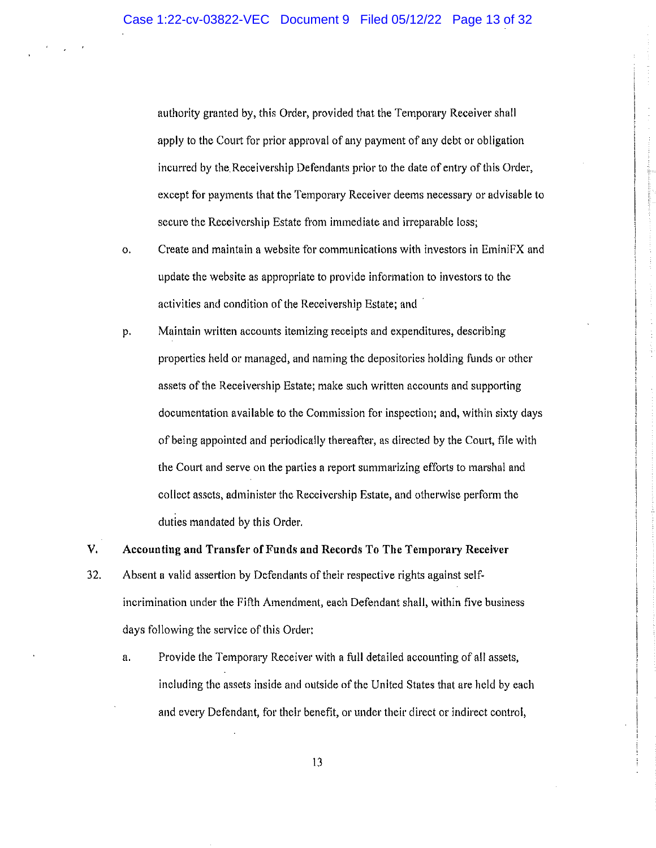authority granted by, this Order, provided that the Temporary Receiver shall apply to the Court for prior approval of any payment of any debt or obligation incurred by the Receivership Defendants prior to the date of entry of this Order, except for payments that the Temporary Receiver deems necessary or advisable to secure the Receivership Estate from immediate and irreparable loss;

- Create and maintain a website for communications with investors in EminiFX and  $\mathbf{o}$ . update the website as appropriate to provide information to investors to the activities and condition of the Receivership Estate; and
- Maintain written accounts itemizing receipts and expenditures, describing p. properties held or managed, and naming the depositories holding funds or other assets of the Receivership Estate; make such written accounts and supporting documentation available to the Commission for inspection; and, within sixty days of being appointed and periodically thereafter, as directed by the Court, file with the Court and serve on the parties a report summarizing efforts to marshal and collect assets, administer the Receivership Estate, and otherwise perform the duties mandated by this Order.
- Accounting and Transfer of Funds and Records To The Temporary Receiver 32. Absent a valid assertion by Defendants of their respective rights against selfincrimination under the Fifth Amendment, each Defendant shall, within five business days following the service of this Order:

 $V<sub>1</sub>$ 

Provide the Temporary Receiver with a full detailed accounting of all assets,  $\mathbf{a}$ . including the assets inside and outside of the United States that are held by each and every Defendant, for their benefit, or under their direct or indirect control,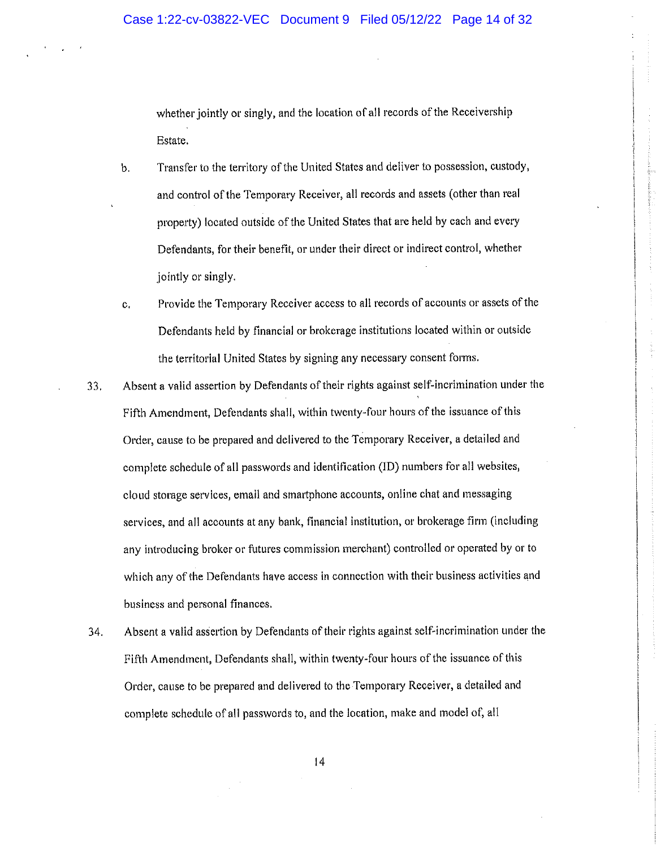whether jointly or singly, and the location of all records of the Receivership Estate.

- Transfer to the territory of the United States and deliver to possession, custody,  $<sub>b</sub>$ .</sub> and control of the Temporary Receiver, all records and assets (other than real property) located outside of the United States that are held by each and every Defendants, for their benefit, or under their direct or indirect control, whether jointly or singly.
- Provide the Temporary Receiver access to all records of accounts or assets of the  $\mathbf{c}$ . Defendants held by financial or brokerage institutions located within or outside the territorial United States by signing any necessary consent forms.
- Absent a valid assertion by Defendants of their rights against self-incrimination under the 33. Fifth Amendment, Defendants shall, within twenty-four hours of the issuance of this Order, cause to be prepared and delivered to the Temporary Receiver, a detailed and complete schedule of all passwords and identification (ID) numbers for all websites, cloud storage services, email and smartphone accounts, online chat and messaging services, and all accounts at any bank, financial institution, or brokerage firm (including any introducing broker or futures commission merchant) controlled or operated by or to which any of the Defendants have access in connection with their business activities and business and personal finances.
- 34. Absent a valid assertion by Defendants of their rights against self-incrimination under the Fifth Amendment, Defendants shall, within twenty-four hours of the issuance of this Order, cause to be prepared and delivered to the Temporary Receiver, a detailed and complete schedule of all passwords to, and the location, make and model of, all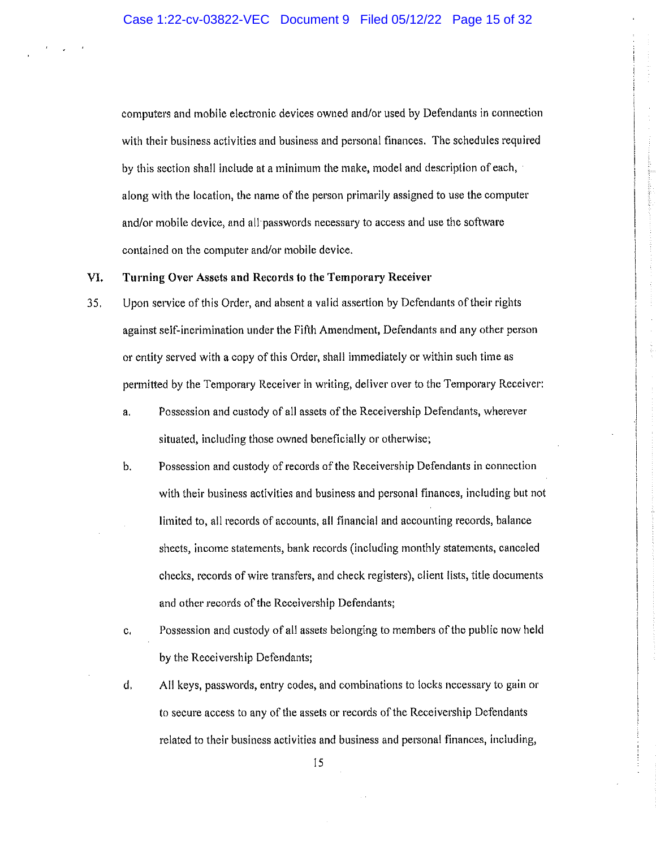computers and mobile electronic devices owned and/or used by Defendants in connection with their business activities and business and personal finances. The schedules required by this section shall include at a minimum the make, model and description of each, along with the location, the name of the person primarily assigned to use the computer and/or mobile device, and all passwords necessary to access and use the software contained on the computer and/or mobile device.

## VI. Turning Over Assets and Records to the Temporary Receiver

- 35. Upon service of this Order, and absent a valid assertion by Defendants of their rights against self-incrimination under the Fifth Amendment, Defendants and any other person or entity served with a copy of this Order, shall immediately or within such time as permitted by the Temporary Receiver in writing, deliver over to the Temporary Receiver:
	- Possession and custody of all assets of the Receivership Defendants, wherever a. situated, including those owned beneficially or otherwise;
	- $b.$ Possession and custody of records of the Receivership Defendants in connection with their business activities and business and personal finances, including but not limited to, all records of accounts, all financial and accounting records, balance sheets, income statements, bank records (including monthly statements, canceled checks, records of wire transfers, and check registers), client lists, title documents and other records of the Receivership Defendants;
	- Possession and custody of all assets belonging to members of the public now held  $\mathbf{c}_i$ by the Receivership Defendants;
	- d, All keys, passwords, entry codes, and combinations to locks necessary to gain or to secure access to any of the assets or records of the Receivership Defendants related to their business activities and business and personal finances, including,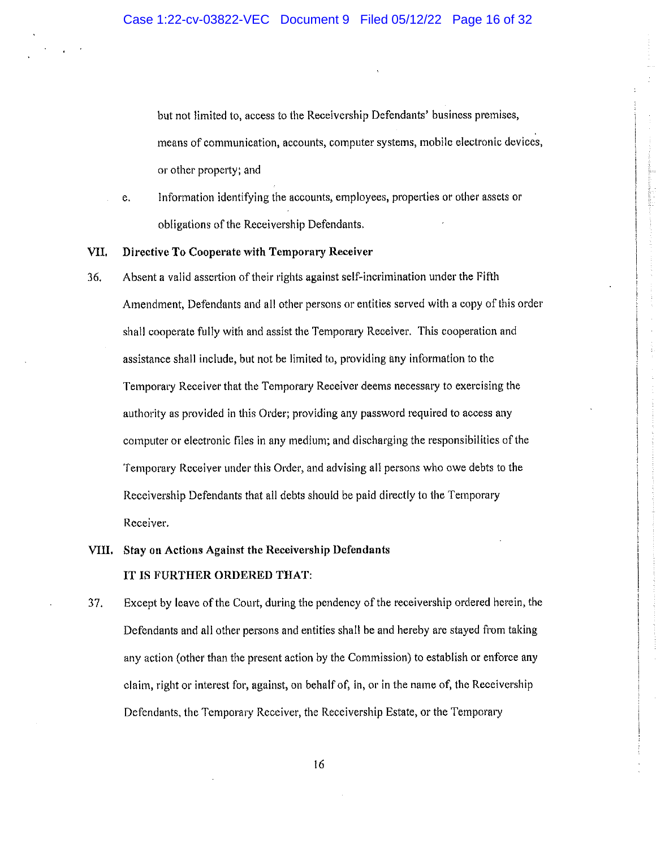but not limited to, access to the Receivership Defendants' business premises, means of communication, accounts, computer systems, mobile electronic devices, or other property; and

Information identifying the accounts, employees, properties or other assets or e. obligations of the Receivership Defendants.

#### VII. Directive To Cooperate with Temporary Receiver

- $36.$ Absent a valid assertion of their rights against self-incrimination under the Fifth Amendment, Defendants and all other persons or entities served with a copy of this order shall cooperate fully with and assist the Temporary Receiver. This cooperation and assistance shall include, but not be limited to, providing any information to the Temporary Receiver that the Temporary Receiver deems necessary to exercising the authority as provided in this Order; providing any password required to access any computer or electronic files in any medium; and discharging the responsibilities of the Temporary Receiver under this Order, and advising all persons who owe debts to the Receivership Defendants that all debts should be paid directly to the Temporary Receiver.
- VIII. Stay on Actions Against the Receivership Defendants IT IS FURTHER ORDERED THAT:
- 37. Except by leave of the Court, during the pendency of the receivership ordered herein, the Defendants and all other persons and entities shall be and hereby are stayed from taking any action (other than the present action by the Commission) to establish or enforce any claim, right or interest for, against, on behalf of, in, or in the name of, the Receivership Defendants, the Temporary Receiver, the Receivership Estate, or the Temporary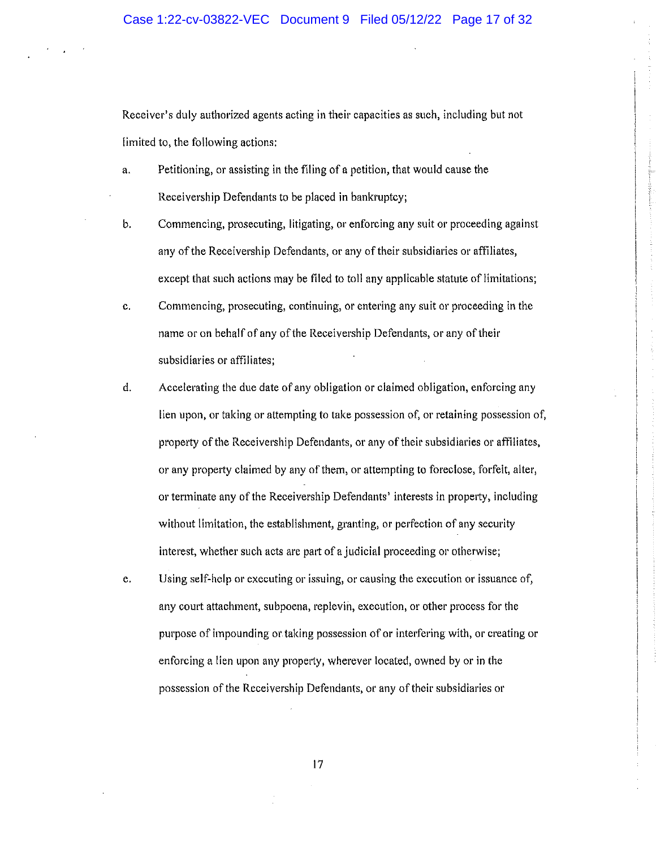Receiver's duly authorized agents acting in their capacities as such, including but not limited to, the following actions:

- Petitioning, or assisting in the filing of a petition, that would cause the a. Receivership Defendants to be placed in bankruptcy;
- Commencing, prosecuting, litigating, or enforcing any suit or proceeding against  $b<sub>r</sub>$ any of the Receivership Defendants, or any of their subsidiaries or affiliates, except that such actions may be filed to toll any applicable statute of limitations;
- c. Commencing, prosecuting, continuing, or entering any suit or proceeding in the name or on behalf of any of the Receivership Defendants, or any of their subsidiaries or affiliates;
- Accelerating the due date of any obligation or claimed obligation, enforcing any d. lien upon, or taking or attempting to take possession of, or retaining possession of, property of the Receivership Defendants, or any of their subsidiaries or affiliates, or any property claimed by any of them, or attempting to foreclose, forfeit, alter, or terminate any of the Receivership Defendants' interests in property, including without limitation, the establishment, granting, or perfection of any security interest, whether such acts are part of a judicial proceeding or otherwise;
- e. Using self-help or executing or issuing, or causing the execution or issuance of, any court attachment, subpoena, replevin, execution, or other process for the purpose of impounding or taking possession of or interfering with, or creating or enforcing a lien upon any property, wherever located, owned by or in the possession of the Receivership Defendants, or any of their subsidiaries or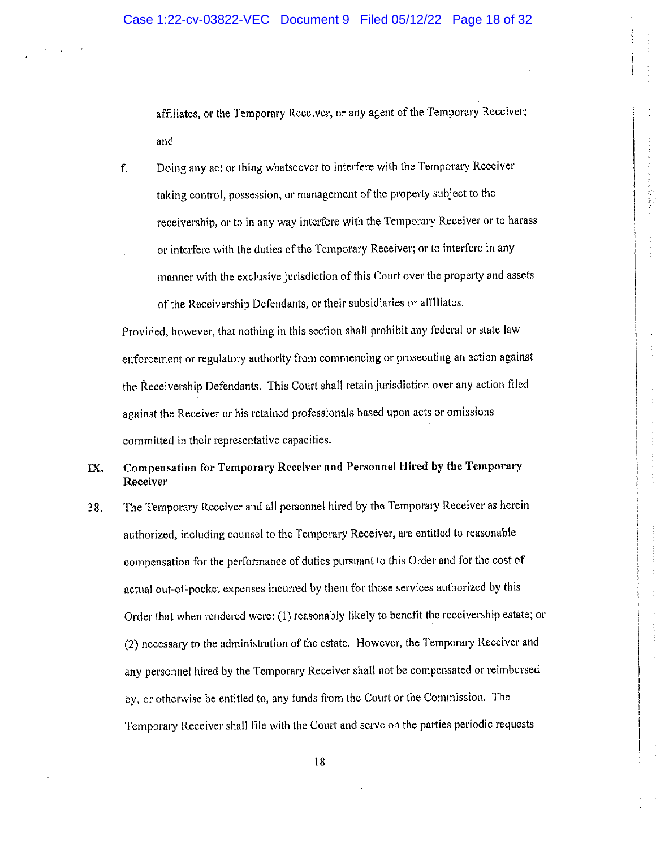affiliates, or the Temporary Receiver, or any agent of the Temporary Receiver; and

Doing any act or thing whatsoever to interfere with the Temporary Receiver f. taking control, possession, or management of the property subject to the receivership, or to in any way interfere with the Temporary Receiver or to harass or interfere with the duties of the Temporary Receiver; or to interfere in any manner with the exclusive jurisdiction of this Court over the property and assets of the Receivership Defendants, or their subsidiaries or affiliates.

Provided, however, that nothing in this section shall prohibit any federal or state law enforcement or regulatory authority from commencing or prosecuting an action against the Receivership Defendants. This Court shall retain jurisdiction over any action filed against the Receiver or his retained professionals based upon acts or omissions committed in their representative capacities.

Compensation for Temporary Receiver and Personnel Hired by the Temporary IX. Receiver

The Temporary Receiver and all personnel hired by the Temporary Receiver as herein 38. authorized, including counsel to the Temporary Receiver, are entitled to reasonable compensation for the performance of duties pursuant to this Order and for the cost of actual out-of-pocket expenses incurred by them for those services authorized by this Order that when rendered were: (1) reasonably likely to benefit the receivership estate; or (2) necessary to the administration of the estate. However, the Temporary Receiver and any personnel hired by the Temporary Receiver shall not be compensated or reimbursed by, or otherwise be entitled to, any funds from the Court or the Commission. The Temporary Receiver shall file with the Court and serve on the parties periodic requests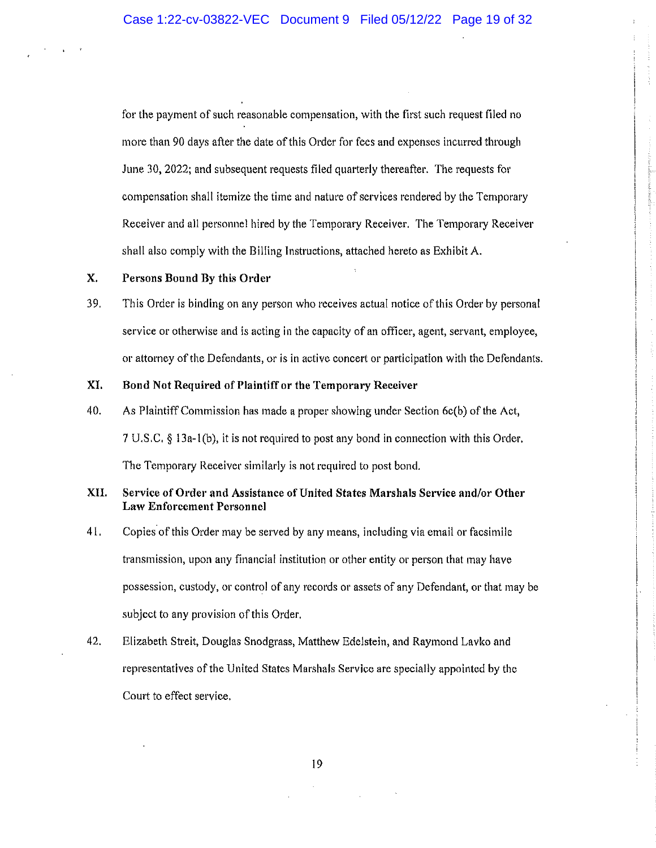for the payment of such reasonable compensation, with the first such request filed no more than 90 days after the date of this Order for fees and expenses incurred through June 30, 2022; and subsequent requests filed quarterly thereafter. The requests for compensation shall itemize the time and nature of services rendered by the Temporary Receiver and all personnel hired by the Temporary Receiver. The Temporary Receiver shall also comply with the Billing Instructions, attached hereto as Exhibit A.

# $\mathbf{X}$ . Persons Bound By this Order

39. This Order is binding on any person who receives actual notice of this Order by personal service or otherwise and is acting in the capacity of an officer, agent, servant, employee, or attorney of the Defendants, or is in active concert or participation with the Defendants.

# XI. Bond Not Required of Plaintiff or the Temporary Receiver

40. As Plaintiff Commission has made a proper showing under Section 6c(b) of the Act, 7 U.S.C. § 13a-1(b), it is not required to post any bond in connection with this Order. The Temporary Receiver similarly is not required to post bond.

# XII. Service of Order and Assistance of United States Marshals Service and/or Other **Law Enforcement Personnel**

- $41.$ Copies of this Order may be served by any means, including via email or facsimile transmission, upon any financial institution or other entity or person that may have possession, custody, or control of any records or assets of any Defendant, or that may be subject to any provision of this Order.
- 42. Elizabeth Streit, Douglas Snodgrass, Matthew Edelstein, and Raymond Layko and representatives of the United States Marshals Service are specially appointed by the Court to effect service.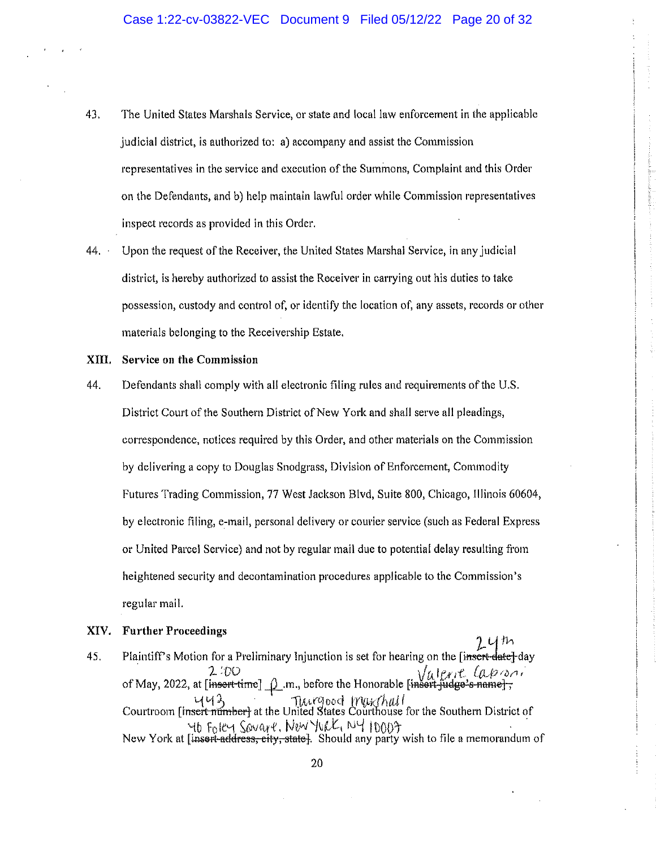- 43. The United States Marshals Service, or state and local law enforcement in the applicable judicial district, is authorized to: a) accompany and assist the Commission representatives in the service and execution of the Summons, Complaint and this Order on the Defendants, and b) help maintain lawful order while Commission representatives inspect records as provided in this Order.
- $44.$ Upon the request of the Receiver, the United States Marshal Service, in any judicial district, is hereby authorized to assist the Receiver in carrying out his duties to take possession, custody and control of, or identify the location of, any assets, records or other materials belonging to the Receivership Estate.

### XIII. Service on the Commission

Defendants shall comply with all electronic filing rules and requirements of the U.S. 44. District Court of the Southern District of New York and shall serve all pleadings, correspondence, notices required by this Order, and other materials on the Commission by delivering a copy to Douglas Snodgrass, Division of Enforcement, Commodity Futures Trading Commission, 77 West Jackson Blvd, Suite 800, Chicago, Illinois 60604, by electronic filing, e-mail, personal delivery or courier service (such as Federal Express or United Parcel Service) and not by regular mail due to potential delay resulting from heightened security and decontamination procedures applicable to the Commission's regular mail.

### XIV. **Further Proceedings**

Plaintiff's Motion for a Preliminary Injunction is set for hearing on the [insert-date] day 45. of May, 2022, at [insert-time]  $\rho$  m, before the Honorable [insert-judge's name];  $443$ <br>Courtroom [insert-number] at the United States Courthouse for the Southern District of 46 Foley Sovare, New York, NY 10003<br>New York at [insert-address, city, state]. Should any party wish to file a memorandum of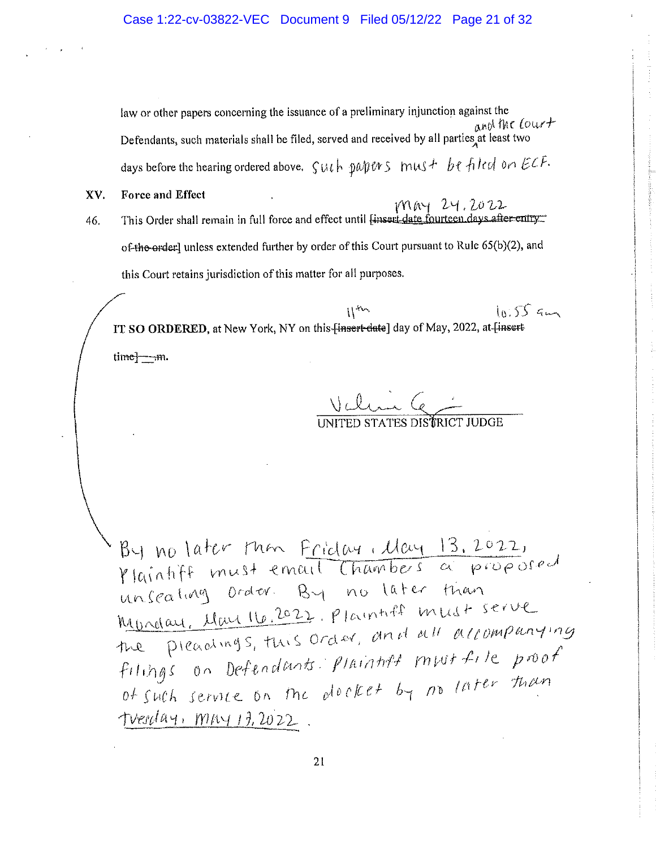law or other papers concerning the issuance of a preliminary injunction against the and the Court Defendants, such materials shall be filed, served and received by all parties at least two 

- XV. Force and Effect
- MAY 24.2022 This Order shall remain in full force and effect until Linsert date fourteen days after entry 46. of the erder] unless extended further by order of this Court pursuant to Rule 65(b)(2), and this Court retains jurisdiction of this matter for all purposes.

 $10.55cm$  $11$ IT SO ORDERED, at New York, NY on this [insert-date] day of May, 2022, at [insert $time$ — $m$ .

Valin C

By no later than <u>Friday, May 13, 2022</u>,<br>Ylaintiff must email Chambers a proposed unseating order. By no later than Monday, May 16, 2022, Plaintiff must serve the preadings, this order, and all accompanying filings on Defendants Plaintiff must file proof of such service on the docket by no later than <u> tverlay, may 13,2022</u>.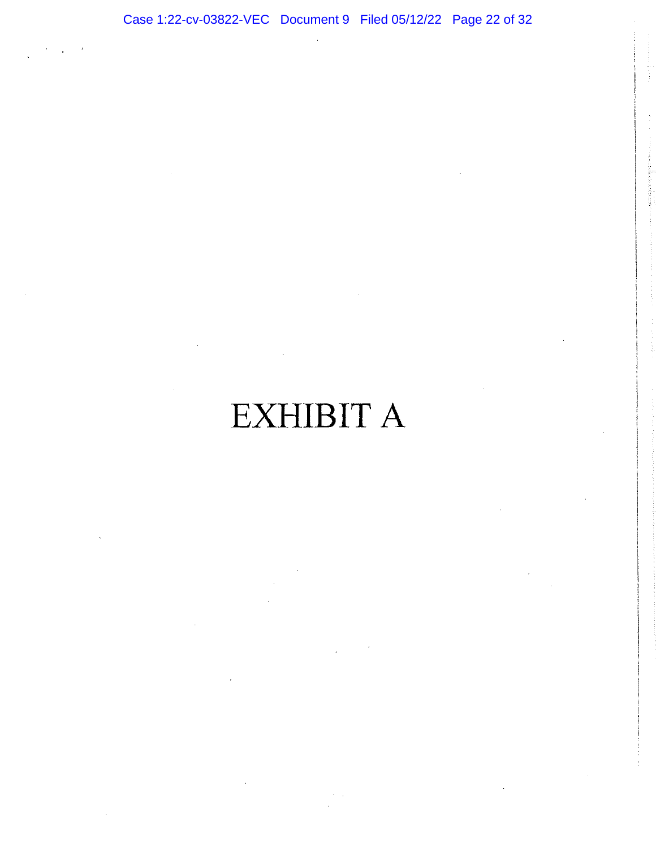# EXHIBIT A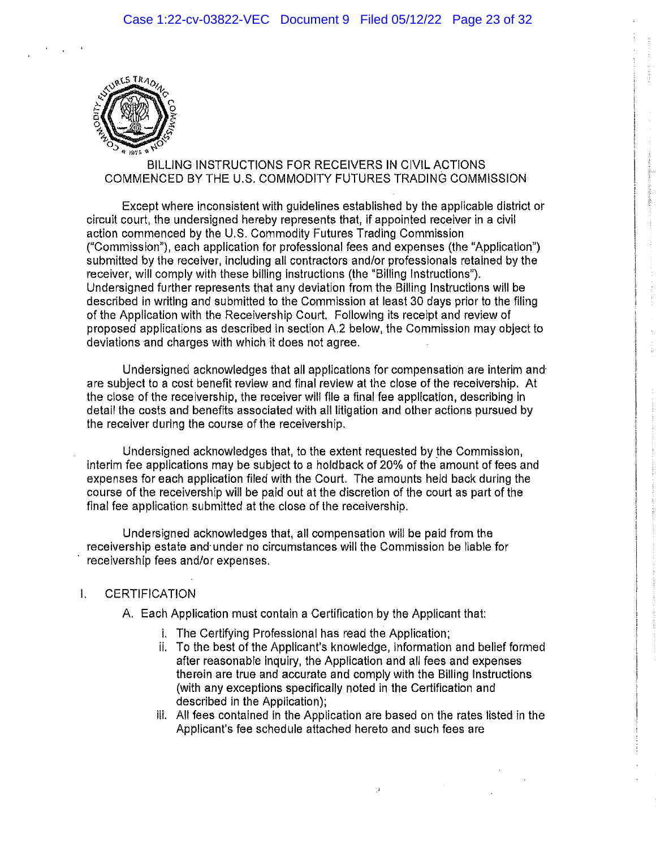

# BILLING INSTRUCTIONS FOR RECEIVERS IN CIVIL ACTIONS COMMENCED BY THE U.S. COMMODITY FUTURES TRADING COMMISSION

Except where inconsistent with guidelines established by the applicable district or circuit court, the undersigned hereby represents that, if appointed receiver in a civil action commenced by the U.S. Commodity Futures Trading Commission ("Commission"), each application for professional fees and expenses (the "Application") submitted by the receiver, including all contractors and/or professionals retained by the receiver, will comply with these billing instructions (the "Billing Instructions"). Undersigned further represents that any deviation from the Billing Instructions will be described in writing and submitted to the Commission at least 30 days prior to the filing of the Application with the Receivership Court. Following its receipt and review of proposed applications as described in section A.2 below, the Commission may object to deviations and charges with which it does not agree.

Undersigned acknowledges that all applications for compensation are interim and are subject to a cost benefit review and final review at the close of the receivership. At the close of the receivership, the receiver will file a final fee application, describing in detail the costs and benefits associated with all litigation and other actions pursued by the receiver during the course of the receivership.

Undersigned acknowledges that, to the extent requested by the Commission. interim fee applications may be subject to a holdback of 20% of the amount of fees and expenses for each application filed with the Court. The amounts held back during the course of the receivership will be paid out at the discretion of the court as part of the final fee application submitted at the close of the receivership.

Undersigned acknowledges that, all compensation will be paid from the receivership estate and under no circumstances will the Commission be llable for receivership fees and/or expenses.

# $\mathbf{L}$ **CERTIFICATION**

A. Each Application must contain a Certification by the Applicant that:

- i. The Certifying Professional has read the Application;
- ii. To the best of the Applicant's knowledge, information and belief formed after reasonable inquiry, the Application and all fees and expenses therein are true and accurate and comply with the Billing Instructions (with any exceptions specifically noted in the Certification and described in the Application);
- iii. All fees contained in the Application are based on the rates listed in the Applicant's fee schedule attached hereto and such fees are

 $\mathcal{A}$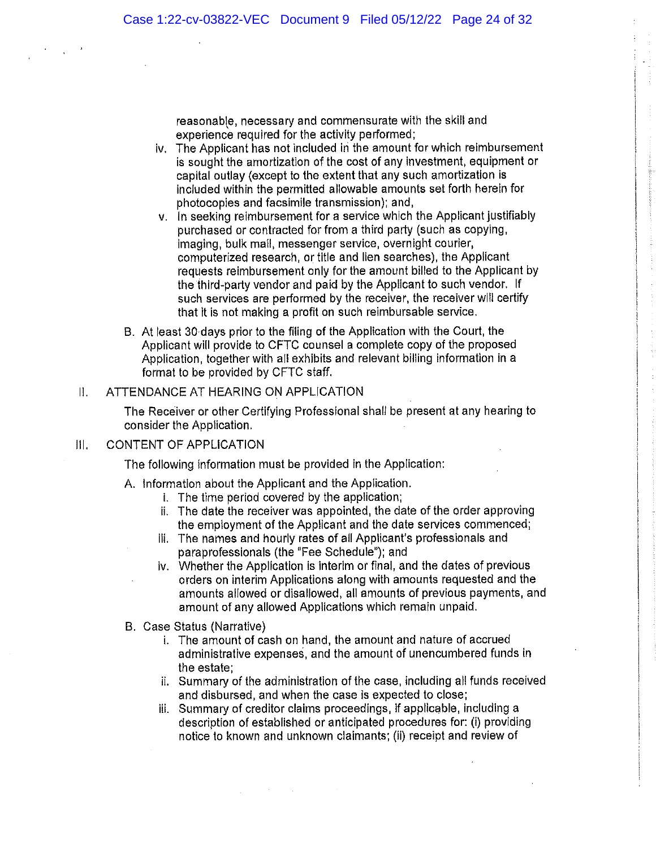reasonable, necessary and commensurate with the skill and experience required for the activity performed;

- iv. The Applicant has not included in the amount for which reimbursement is sought the amortization of the cost of any investment, equipment or capital outlay (except to the extent that any such amortization is included within the permitted allowable amounts set forth herein for photocopies and facsimile transmission); and,
- v. In seeking reimbursement for a service which the Applicant justifiably purchased or contracted for from a third party (such as copying, Imaging, bulk mail, messenger service, overnight courier. computerized research, or title and lien searches), the Applicant requests reimbursement only for the amount billed to the Applicant by the third-party vendor and paid by the Applicant to such vendor. If such services are performed by the receiver, the receiver will certify that it is not making a profit on such reimbursable service.
- B. At least 30 days prior to the filing of the Application with the Court, the Applicant will provide to CFTC counsel a complete copy of the proposed Application, together with all exhibits and relevant billing information in a format to be provided by CFTC staff.

## ATTENDANCE AT HEARING ON APPLICATION  $\mathbf{II}$ .

The Receiver or other Certifying Professional shall be present at any hearing to consider the Application.

# **CONTENT OF APPLICATION**  $||||$

The following information must be provided in the Application:

- A. Information about the Applicant and the Application.
	- i. The time period covered by the application;
	- ii. The date the receiver was appointed, the date of the order approving the employment of the Applicant and the date services commenced;
	- III. The names and hourly rates of all Applicant's professionals and paraprofessionals (the "Fee Schedule"); and
	- iv. Whether the Application is interim or final, and the dates of previous orders on interim Applications along with amounts requested and the amounts allowed or disallowed, all amounts of previous payments, and amount of any allowed Applications which remain unpaid.
- B. Case Status (Narrative)
	- i. The amount of cash on hand, the amount and nature of accrued administrative expenses, and the amount of unencumbered funds in the estate:
	- ii. Summary of the administration of the case, including all funds received and disbursed, and when the case is expected to close;
	- iii. Summary of creditor claims proceedings, if applicable, including a description of established or anticipated procedures for: (i) providing notice to known and unknown claimants; (ii) receipt and review of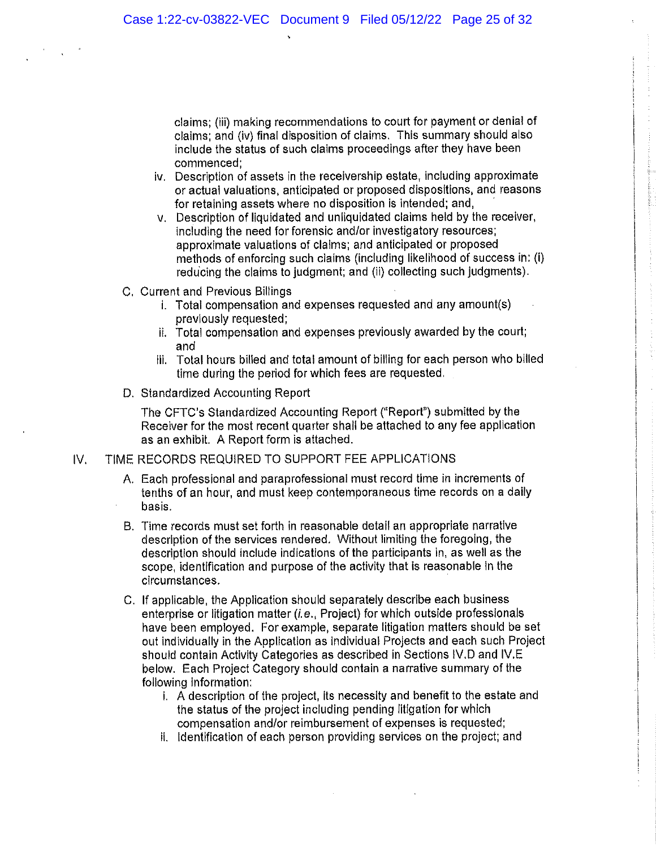claims; (iii) making recommendations to court for payment or denial of claims: and (iv) final disposition of claims. This summary should also include the status of such claims proceedings after they have been commenced:

- iv. Description of assets in the receivership estate, including approximate or actual valuations, anticipated or proposed dispositions, and reasons for retaining assets where no disposition is intended; and,
- v. Description of liquidated and unliquidated claims held by the receiver, including the need for forensic and/or investigatory resources; approximate valuations of claims; and anticipated or proposed methods of enforcing such claims (including likelihood of success in: (i) reducing the claims to judgment; and (ii) collecting such judgments).
- C. Current and Previous Billings
	- i. Total compensation and expenses requested and any amount(s) previously requested;
	- ii. Total compensation and expenses previously awarded by the court; and
	- iii. Total hours billed and total amount of billing for each person who billed time during the period for which fees are requested.
- D. Standardized Accounting Report

The CFTC's Standardized Accounting Report ("Report") submitted by the Receiver for the most recent quarter shall be attached to any fee application as an exhibit. A Report form is attached.

#### IV. TIME RECORDS REQUIRED TO SUPPORT FEE APPLICATIONS

- A. Each professional and paraprofessional must record time in increments of tenths of an hour, and must keep contemporaneous time records on a daily basis.
- B. Time records must set forth in reasonable detail an appropriate narrative description of the services rendered. Without limiting the foregoing, the description should include indications of the participants in, as well as the scope, identification and purpose of the activity that is reasonable in the circumstances.
- C. If applicable, the Application should separately describe each business enterprise or litigation matter (i.e., Project) for which outside professionals have been employed. For example, separate litigation matters should be set out individually in the Application as individual Projects and each such Project should contain Activity Categories as described in Sections IV.D and IV.E. below. Each Project Category should contain a narrative summary of the following information:
	- i. A description of the project, its necessity and benefit to the estate and the status of the project including pending litigation for which compensation and/or reimbursement of expenses is requested;
	- ii. Identification of each person providing services on the project; and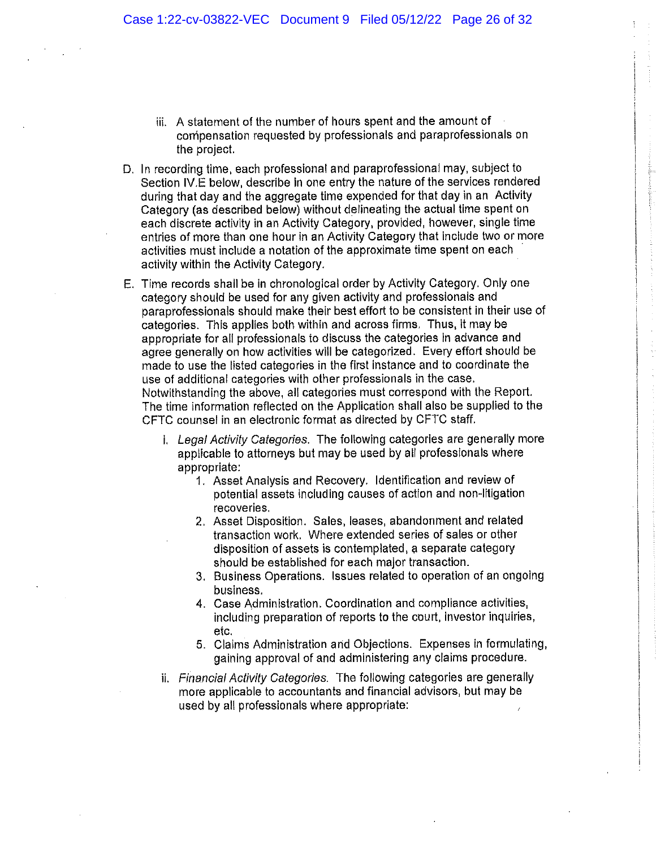- iii. A statement of the number of hours spent and the amount of compensation requested by professionals and paraprofessionals on the project.
- D. In recording time, each professional and paraprofessional may, subject to Section IV.E below, describe in one entry the nature of the services rendered during that day and the aggregate time expended for that day in an Activity Category (as described below) without delineating the actual time spent on each discrete activity in an Activity Category, provided, however, single time entries of more than one hour in an Activity Category that include two or more activities must include a notation of the approximate time spent on each activity within the Activity Category.
- E. Time records shall be in chronological order by Activity Category. Only one category should be used for any given activity and professionals and paraprofessionals should make their best effort to be consistent in their use of categories. This applies both within and across firms. Thus, it may be appropriate for all professionals to discuss the categories in advance and agree generally on how activities will be categorized. Every effort should be made to use the listed categories in the first instance and to coordinate the use of additional categories with other professionals in the case. Notwithstanding the above, all categories must correspond with the Report. The time information reflected on the Application shall also be supplied to the CFTC counsel in an electronic format as directed by CFTC staff.
	- i. Legal Activity Categories. The following categories are generally more applicable to attorneys but may be used by all professionals where appropriate:
		- 1. Asset Analysis and Recovery. Identification and review of potential assets including causes of action and non-litigation recoveries.
		- 2. Asset Disposition. Sales, leases, abandonment and related transaction work. Where extended series of sales or other disposition of assets is contemplated, a separate category should be established for each major transaction.
		- 3. Business Operations. Issues related to operation of an ongoing business.
		- 4. Case Administration. Coordination and compliance activities, including preparation of reports to the court, investor inquiries, etc.
		- 5. Claims Administration and Objections. Expenses in formulating, gaining approval of and administering any claims procedure.
	- ii. Financial Activity Categories. The following categories are generally more applicable to accountants and financial advisors, but may be used by all professionals where appropriate: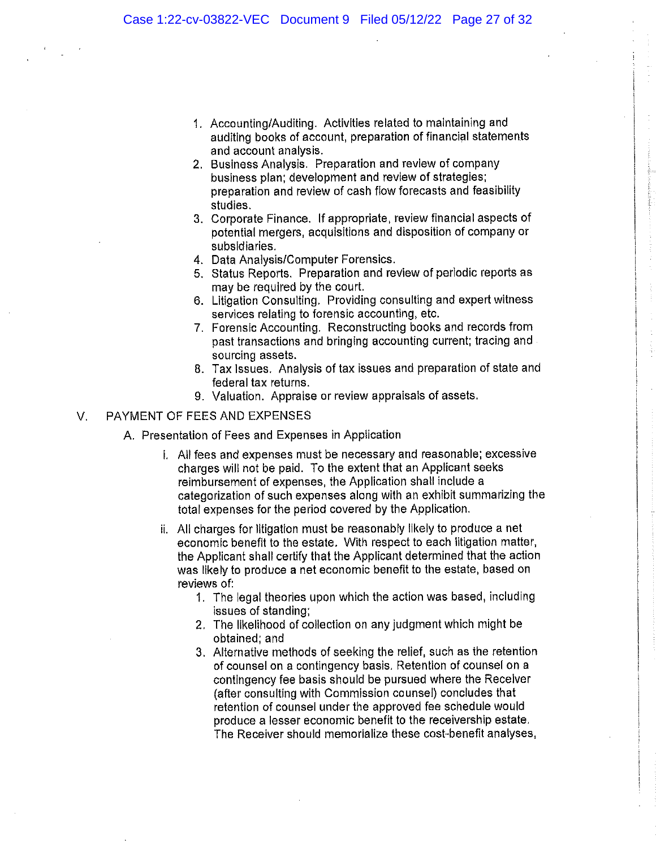- 1. Accounting/Auditing. Activities related to maintaining and auditing books of account, preparation of financial statements and account analysis.
- 2. Business Analysis. Preparation and review of company business plan; development and review of strategies; preparation and review of cash flow forecasts and feasibility studies.
- 3. Corporate Finance. If appropriate, review financial aspects of potential mergers, acquisitions and disposition of company or subsidiaries.
- 4. Data Analysis/Computer Forensics.
- 5. Status Reports. Preparation and review of periodic reports as may be required by the court.
- 6. Litigation Consulting. Providing consulting and expert witness services relating to forensic accounting, etc.
- 7. Forensic Accounting. Reconstructing books and records from past transactions and bringing accounting current; tracing and sourcing assets.
- 8. Tax Issues. Analysis of tax issues and preparation of state and federal tax returns.
- 9. Valuation. Appraise or review appraisals of assets.

# PAYMENT OF FEES AND EXPENSES  $V_{\rm c}$

- A. Presentation of Fees and Expenses in Application
	- i. All fees and expenses must be necessary and reasonable; excessive charges will not be paid. To the extent that an Applicant seeks reimbursement of expenses, the Application shall include a categorization of such expenses along with an exhibit summarizing the total expenses for the period covered by the Application.
	- ii. All charges for litigation must be reasonably likely to produce a net economic benefit to the estate. With respect to each litigation matter, the Applicant shall certify that the Applicant determined that the action was likely to produce a net economic benefit to the estate, based on reviews of:
		- 1. The legal theories upon which the action was based, including issues of standing:
		- 2. The likelihood of collection on any judgment which might be obtained; and
		- 3. Alternative methods of seeking the relief, such as the retention of counsel on a contingency basis. Retention of counsel on a contingency fee basis should be pursued where the Receiver (after consulting with Commission counsel) concludes that retention of counsel under the approved fee schedule would produce a lesser economic benefit to the receivership estate. The Receiver should memorialize these cost-benefit analyses,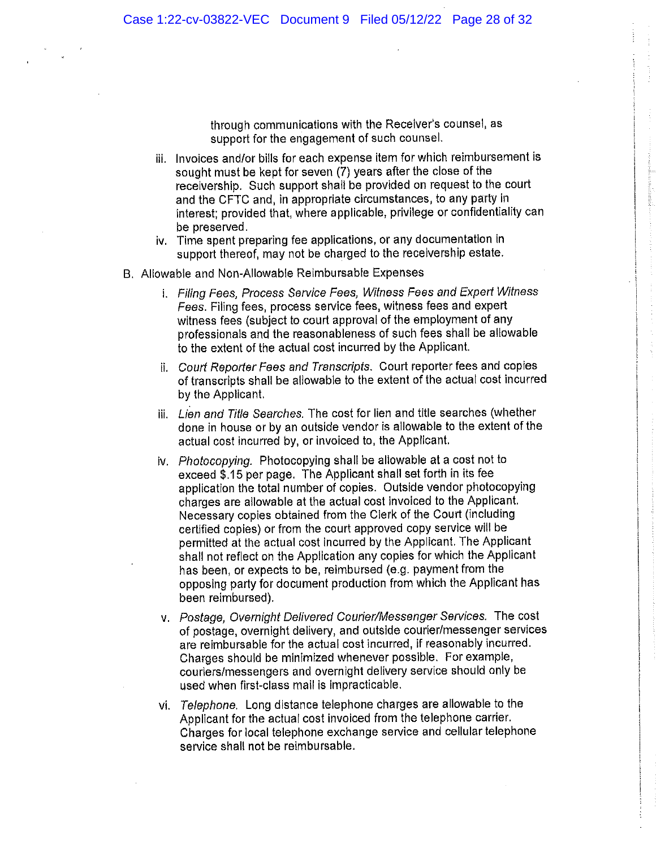through communications with the Receiver's counsel, as support for the engagement of such counsel.

iii. Invoices and/or bills for each expense item for which reimbursement is sought must be kept for seven (7) years after the close of the receivership. Such support shall be provided on request to the court and the CFTC and, in appropriate circumstances, to any party in interest; provided that, where applicable, privilege or confidentiality can be preserved.

- iv. Time spent preparing fee applications, or any documentation in support thereof, may not be charged to the receivership estate.
- B. Allowable and Non-Allowable Reimbursable Expenses
	- i. Filing Fees, Process Service Fees, Witness Fees and Expert Witness Fees. Filing fees, process service fees, witness fees and expert witness fees (subject to court approval of the employment of any professionals and the reasonableness of such fees shall be allowable to the extent of the actual cost incurred by the Applicant.
	- ii. Court Reporter Fees and Transcripts. Court reporter fees and copies of transcripts shall be allowable to the extent of the actual cost incurred by the Applicant.
	- iii. Lien and Title Searches. The cost for lien and title searches (whether done in house or by an outside vendor is allowable to the extent of the actual cost incurred by, or invoiced to, the Applicant.
	- iv. Photocopying. Photocopying shall be allowable at a cost not to exceed \$.15 per page. The Applicant shall set forth in its fee application the total number of copies. Outside vendor photocopying charges are allowable at the actual cost invoiced to the Applicant. Necessary copies obtained from the Clerk of the Court (including certified copies) or from the court approved copy service will be permitted at the actual cost incurred by the Applicant. The Applicant shall not reflect on the Application any copies for which the Applicant has been, or expects to be, reimbursed (e.g. payment from the opposing party for document production from which the Applicant has been reimbursed).
	- v. Postage, Overnight Delivered Courier/Messenger Services. The cost of postage, overnight delivery, and outside courter/messenger services are reimbursable for the actual cost incurred, if reasonably incurred. Charges should be minimized whenever possible. For example, couriers/messengers and overnight delivery service should only be used when first-class mail is impracticable.
	- vi. Telephone. Long distance telephone charges are allowable to the Applicant for the actual cost invoiced from the telephone carrier. Charges for local telephone exchange service and cellular telephone service shall not be reimbursable.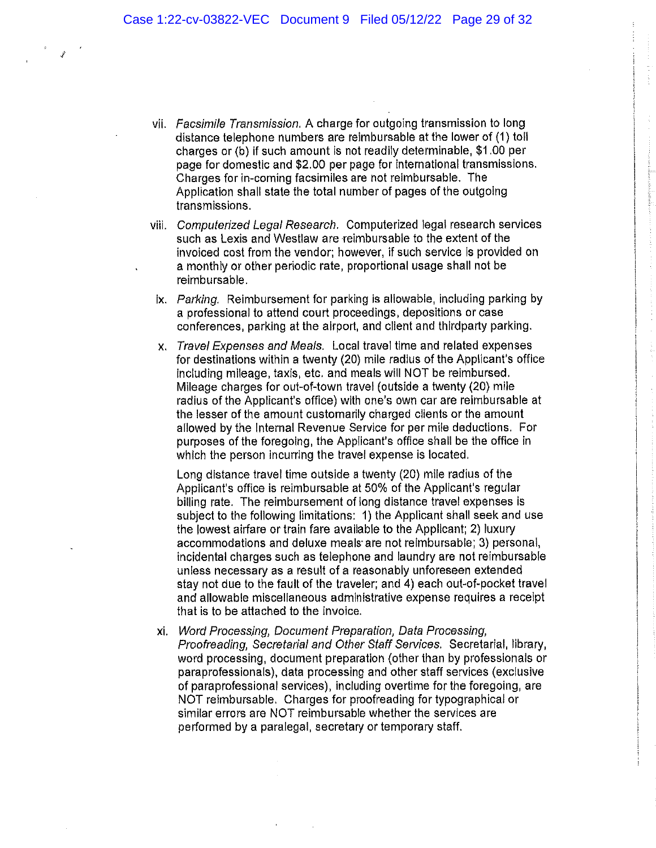- vii. Facsimile Transmission. A charge for outgoing transmission to long distance telephone numbers are reimbursable at the lower of (1) toll charges or (b) if such amount is not readily determinable, \$1.00 per page for domestic and \$2.00 per page for international transmissions. Charges for in-coming facsimiles are not reimbursable. The Application shall state the total number of pages of the outgoing transmissions.
- viil. Computerized Legal Research. Computerized legal research services such as Lexis and Westlaw are reimbursable to the extent of the invoiced cost from the vendor; however, if such service is provided on a monthly or other periodic rate, proportional usage shall not be reimbursable.
- ix. Parking. Reimbursement for parking is allowable, including parking by a professional to attend court proceedings, depositions or case conferences, parking at the airport, and client and thirdparty parking.
- x. Travel Expenses and Meals. Local travel time and related expenses for destinations within a twenty (20) mile radius of the Applicant's office including mileage, taxis, etc. and meals will NOT be reimbursed. Mileage charges for out-of-town travel (outside a twenty (20) mile radius of the Applicant's office) with one's own car are reimbursable at the lesser of the amount customarily charged clients or the amount allowed by the Internal Revenue Service for per mile deductions. For purposes of the foregoing, the Applicant's office shall be the office in which the person incurring the travel expense is located.

Long distance travel time outside a twenty (20) mile radius of the Applicant's office is reimbursable at 50% of the Applicant's regular billing rate. The reimbursement of long distance travel expenses is subject to the following limitations: 1) the Applicant shall seek and use the lowest airfare or train fare available to the Applicant; 2) luxury accommodations and deluxe meals are not reimbursable; 3) personal, incidental charges such as telephone and laundry are not reimbursable unless necessary as a result of a reasonably unforeseen extended stay not due to the fault of the traveler; and 4) each out-of-pocket travel and allowable miscellaneous administrative expense requires a receipt that is to be attached to the invoice.

xi. Word Processing, Document Preparation, Data Processing, Proofreading, Secretarial and Other Staff Services. Secretarial, library, word processing, document preparation (other than by professionals or paraprofessionals), data processing and other staff services (exclusive of paraprofessional services), including overtime for the foregoing, are NOT reimbursable. Charges for proofreading for typographical or similar errors are NOT reimbursable whether the services are performed by a paralegal, secretary or temporary staff.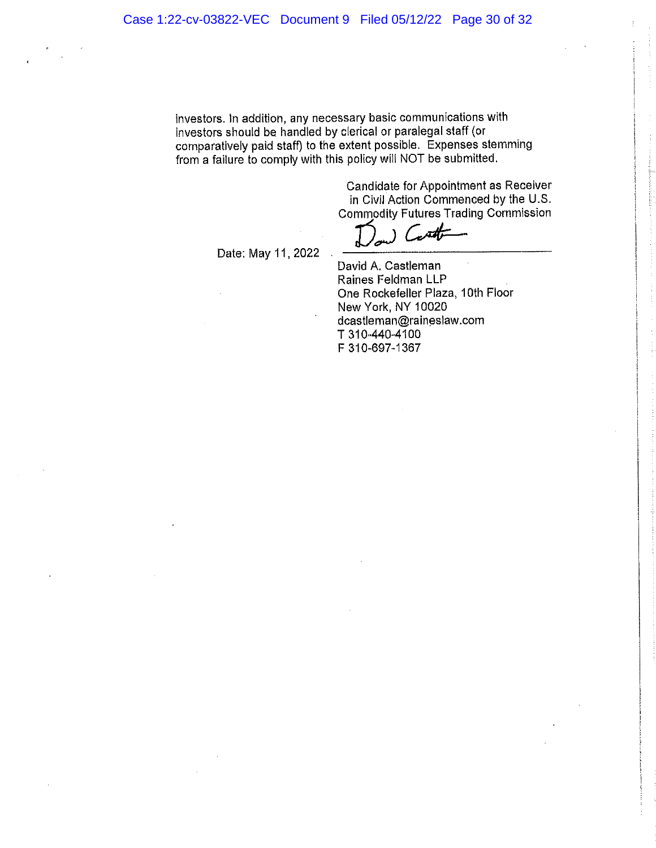investors. In addition, any necessary basic communications with investors should be handled by clerical or paralegal staff (or comparatively paid staff) to the extent possible. Expenses stemming from a failure to comply with this policy will NOT be submitted.

> Candidate for Appointment as Receiver in Civil Action Commenced by the U.S. **Commodity Futures Trading Commission**

يملتدر

Date: May 11, 2022

David A. Castleman Raines Feldman LLP One Rockefeller Plaza, 10th Floor New York, NY 10020 dcastleman@raineslaw.com T 310-440-4100 F 310-697-1367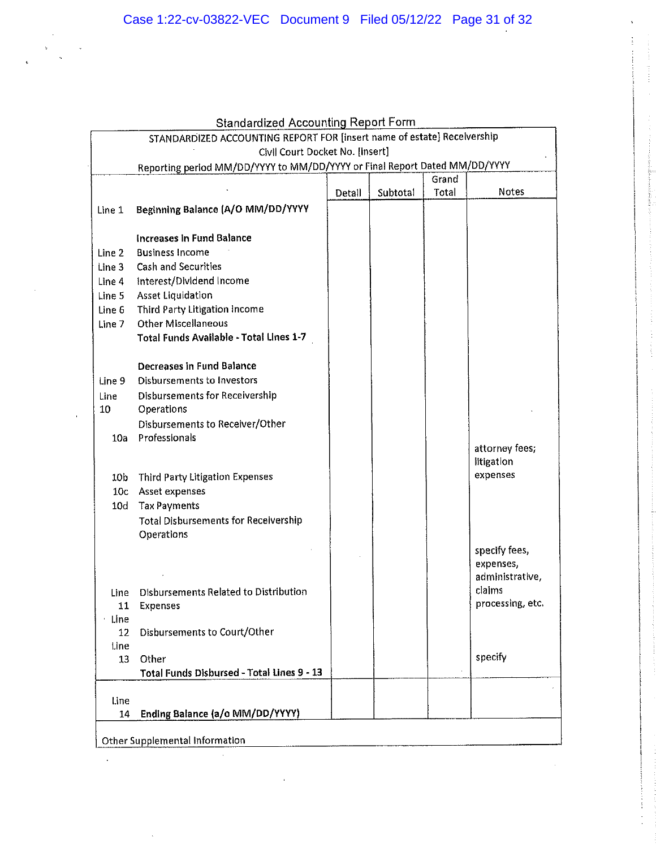|                                                                         | <b>Standardized Accounting Report Form</b>                                 |        |          |       |                  |
|-------------------------------------------------------------------------|----------------------------------------------------------------------------|--------|----------|-------|------------------|
| STANDARDIZED ACCOUNTING REPORT FOR [insert name of estate] Recelvership |                                                                            |        |          |       |                  |
|                                                                         | Civil Court Docket No. [insert]                                            |        |          |       |                  |
|                                                                         | Reporting period MM/DD/YYYY to MM/DD/YYYY or Final Report Dated MM/DD/YYYY |        |          |       |                  |
|                                                                         |                                                                            |        |          | Grand |                  |
|                                                                         |                                                                            | Detall | Subtotal | Total | Notes            |
| Line 1                                                                  | Beginning Balance (A/O MM/DD/YYYY                                          |        |          |       |                  |
|                                                                         |                                                                            |        |          |       |                  |
|                                                                         | <b>Increases in Fund Balance</b>                                           |        |          |       |                  |
| Line 2                                                                  | <b>Business Income</b>                                                     |        |          |       |                  |
| Line 3                                                                  | <b>Cash and Securities</b>                                                 |        |          |       |                  |
| Line 4                                                                  | Interest/Dividend Income                                                   |        |          |       |                  |
| Line 5                                                                  | Asset Liquidation                                                          |        |          |       |                  |
| Line 6                                                                  | Third Party Litigation Income<br><b>Other Miscellaneous</b>                |        |          |       |                  |
| Line 7                                                                  | Total Funds Available - Total Lines 1-7                                    |        |          |       |                  |
|                                                                         |                                                                            |        |          |       |                  |
|                                                                         | <b>Decreases in Fund Balance</b>                                           |        |          |       |                  |
| Line 9                                                                  | <b>Disbursements to Investors</b>                                          |        |          |       |                  |
| Line                                                                    | <b>Disbursements for Receivership</b>                                      |        |          |       |                  |
| 10                                                                      | Operations                                                                 |        |          |       |                  |
|                                                                         | Disbursements to Receiver/Other                                            |        |          |       |                  |
| 10a                                                                     | Professionals                                                              |        |          |       |                  |
|                                                                         |                                                                            |        |          |       | attorney fees;   |
|                                                                         |                                                                            |        |          |       | litigation       |
| 10b                                                                     | Third Party Litigation Expenses                                            |        |          |       | expenses         |
| 10c                                                                     | Asset expenses                                                             |        |          |       |                  |
| 10 <sub>d</sub>                                                         | <b>Tax Payments</b>                                                        |        |          |       |                  |
|                                                                         | <b>Total Disbursements for Receivership</b>                                |        |          |       |                  |
|                                                                         | Operations                                                                 |        |          |       |                  |
|                                                                         |                                                                            |        |          |       | specify fees,    |
|                                                                         |                                                                            |        |          |       | expenses,        |
|                                                                         |                                                                            |        |          |       | administrative,  |
| Line                                                                    | Disbursements Related to Distribution                                      |        |          |       | claims           |
| 11                                                                      | Expenses                                                                   |        |          |       | processing, etc. |
| Line                                                                    | Disbursements to Court/Other                                               |        |          |       |                  |
| 12<br>l.ine                                                             |                                                                            |        |          |       |                  |
| 13                                                                      | Other                                                                      |        |          |       | specify          |
|                                                                         | Total Funds Disbursed - Total Lines 9 - 13                                 |        |          |       |                  |
|                                                                         |                                                                            |        |          |       |                  |
| Line                                                                    |                                                                            |        |          |       |                  |
| 14                                                                      | Ending Balance (a/o MM/DD/YYYY)                                            |        |          |       |                  |
|                                                                         |                                                                            |        |          |       |                  |
| Other Supplemental Information                                          |                                                                            |        |          |       |                  |